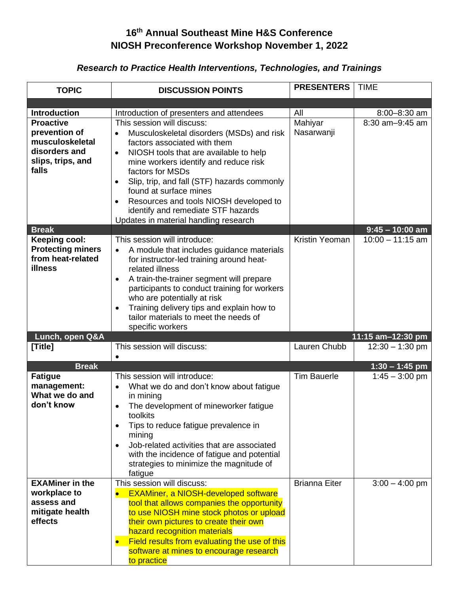## **16 th Annual Southeast Mine H&S Conference NIOSH Preconference Workshop November 1, 2022**

# *Research to Practice Health Interventions, Technologies, and Trainings*

| <b>TOPIC</b>                     | <b>DISCUSSION POINTS</b>                                                                     | <b>PRESENTERS</b>    | <b>TIME</b>          |
|----------------------------------|----------------------------------------------------------------------------------------------|----------------------|----------------------|
|                                  |                                                                                              |                      |                      |
|                                  |                                                                                              |                      |                      |
| <b>Introduction</b>              | Introduction of presenters and attendees                                                     | All                  | $8:00 - 8:30$ am     |
| <b>Proactive</b>                 | This session will discuss:                                                                   | Mahiyar              | $8:30$ am $-9:45$ am |
| prevention of<br>musculoskeletal | Musculoskeletal disorders (MSDs) and risk<br>$\bullet$                                       | Nasarwanji           |                      |
| disorders and                    | factors associated with them                                                                 |                      |                      |
| slips, trips, and                | NIOSH tools that are available to help<br>$\bullet$<br>mine workers identify and reduce risk |                      |                      |
| falls                            | factors for MSDs                                                                             |                      |                      |
|                                  | Slip, trip, and fall (STF) hazards commonly                                                  |                      |                      |
|                                  | found at surface mines                                                                       |                      |                      |
|                                  | Resources and tools NIOSH developed to<br>$\bullet$                                          |                      |                      |
|                                  | identify and remediate STF hazards                                                           |                      |                      |
|                                  | Updates in material handling research                                                        |                      |                      |
| <b>Break</b>                     |                                                                                              |                      | $9:45 - 10:00$ am    |
| <b>Keeping cool:</b>             | This session will introduce:                                                                 | Kristin Yeoman       | $10:00 - 11:15$ am   |
| <b>Protecting miners</b>         | A module that includes guidance materials<br>$\bullet$                                       |                      |                      |
| from heat-related                | for instructor-led training around heat-                                                     |                      |                      |
| <b>illness</b>                   | related illness                                                                              |                      |                      |
|                                  | A train-the-trainer segment will prepare<br>$\bullet$                                        |                      |                      |
|                                  | participants to conduct training for workers                                                 |                      |                      |
|                                  | who are potentially at risk                                                                  |                      |                      |
|                                  | Training delivery tips and explain how to                                                    |                      |                      |
|                                  | tailor materials to meet the needs of<br>specific workers                                    |                      |                      |
| Lunch, open Q&A                  |                                                                                              |                      | 11:15 am-12:30 pm    |
| [Title]                          | This session will discuss:                                                                   | Lauren Chubb         | $12:30 - 1:30$ pm    |
|                                  |                                                                                              |                      |                      |
| <b>Break</b>                     |                                                                                              |                      | $1:30 - 1:45$ pm     |
| <b>Fatigue</b>                   | This session will introduce:                                                                 | <b>Tim Bauerle</b>   | $1:45 - 3:00$ pm     |
| management:                      | What we do and don't know about fatigue<br>$\bullet$                                         |                      |                      |
| What we do and                   | in mining                                                                                    |                      |                      |
| don't know                       | The development of mineworker fatigue<br>$\bullet$                                           |                      |                      |
|                                  | toolkits                                                                                     |                      |                      |
|                                  | Tips to reduce fatigue prevalence in<br>$\bullet$                                            |                      |                      |
|                                  | mining                                                                                       |                      |                      |
|                                  | Job-related activities that are associated                                                   |                      |                      |
|                                  | with the incidence of fatigue and potential<br>strategies to minimize the magnitude of       |                      |                      |
|                                  | fatigue                                                                                      |                      |                      |
| <b>EXAMiner in the</b>           | This session will discuss:                                                                   | <b>Brianna Eiter</b> | $3:00 - 4:00$ pm     |
| workplace to                     | <b>EXAMiner, a NIOSH-developed software</b>                                                  |                      |                      |
| assess and                       | tool that allows companies the opportunity                                                   |                      |                      |
| mitigate health                  | to use NIOSH mine stock photos or upload                                                     |                      |                      |
| effects                          | their own pictures to create their own                                                       |                      |                      |
|                                  | hazard recognition materials                                                                 |                      |                      |
|                                  | Field results from evaluating the use of this                                                |                      |                      |
|                                  | software at mines to encourage research                                                      |                      |                      |
|                                  | to practice                                                                                  |                      |                      |